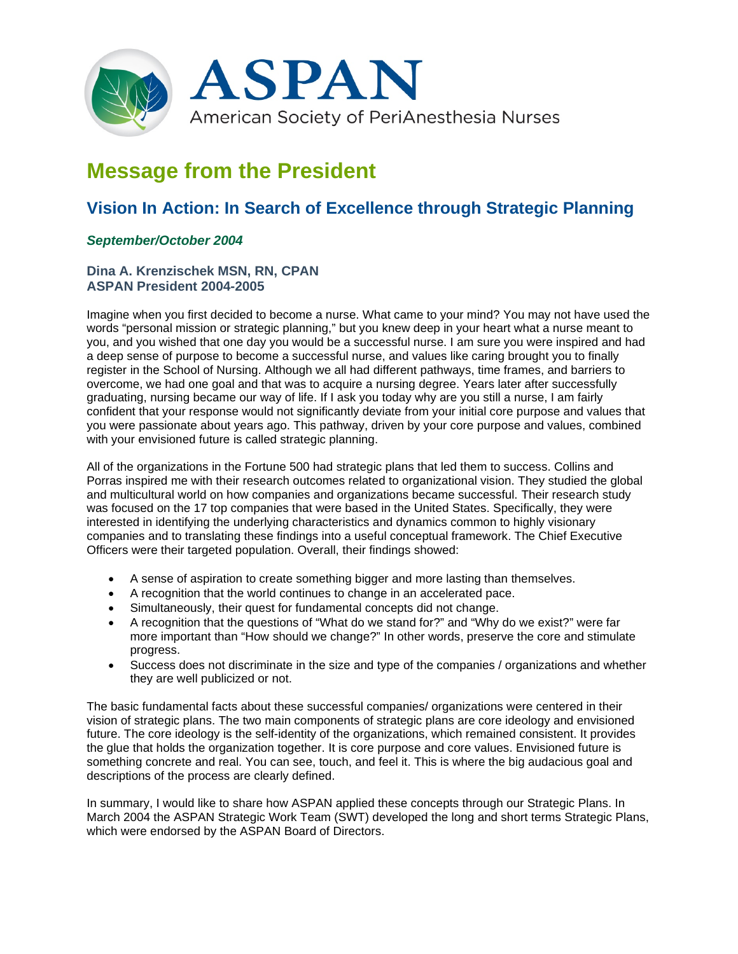

# **Message from the President**

# **Vision In Action: In Search of Excellence through Strategic Planning**

## *September/October 2004*

### **Dina A. Krenzischek MSN, RN, CPAN ASPAN President 2004-2005**

Imagine when you first decided to become a nurse. What came to your mind? You may not have used the words "personal mission or strategic planning," but you knew deep in your heart what a nurse meant to you, and you wished that one day you would be a successful nurse. I am sure you were inspired and had a deep sense of purpose to become a successful nurse, and values like caring brought you to finally register in the School of Nursing. Although we all had different pathways, time frames, and barriers to overcome, we had one goal and that was to acquire a nursing degree. Years later after successfully graduating, nursing became our way of life. If I ask you today why are you still a nurse, I am fairly confident that your response would not significantly deviate from your initial core purpose and values that you were passionate about years ago. This pathway, driven by your core purpose and values, combined with your envisioned future is called strategic planning.

All of the organizations in the Fortune 500 had strategic plans that led them to success. Collins and Porras inspired me with their research outcomes related to organizational vision. They studied the global and multicultural world on how companies and organizations became successful. Their research study was focused on the 17 top companies that were based in the United States. Specifically, they were interested in identifying the underlying characteristics and dynamics common to highly visionary companies and to translating these findings into a useful conceptual framework. The Chief Executive Officers were their targeted population. Overall, their findings showed:

- A sense of aspiration to create something bigger and more lasting than themselves.
- A recognition that the world continues to change in an accelerated pace.
- Simultaneously, their quest for fundamental concepts did not change.
- A recognition that the questions of "What do we stand for?" and "Why do we exist?" were far more important than "How should we change?" In other words, preserve the core and stimulate progress.
- Success does not discriminate in the size and type of the companies / organizations and whether they are well publicized or not.

The basic fundamental facts about these successful companies/ organizations were centered in their vision of strategic plans. The two main components of strategic plans are core ideology and envisioned future. The core ideology is the self-identity of the organizations, which remained consistent. It provides the glue that holds the organization together. It is core purpose and core values. Envisioned future is something concrete and real. You can see, touch, and feel it. This is where the big audacious goal and descriptions of the process are clearly defined.

In summary, I would like to share how ASPAN applied these concepts through our Strategic Plans. In March 2004 the ASPAN Strategic Work Team (SWT) developed the long and short terms Strategic Plans, which were endorsed by the ASPAN Board of Directors.